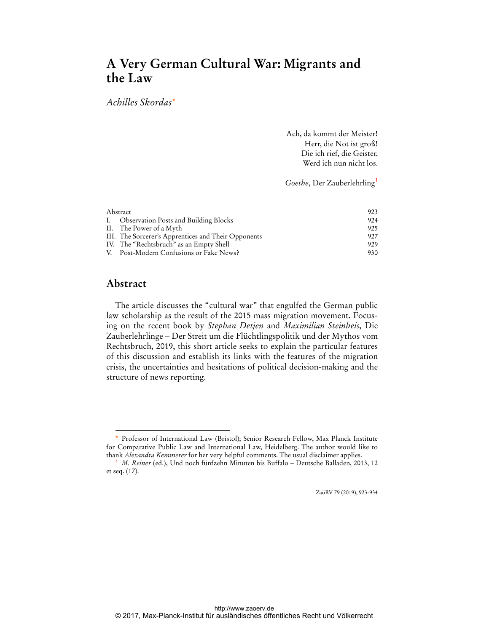# **A Very German Cultural War: Migrants and the Law**

*Achilles Skordas\**

Ach, da kommt der Meister! Herr, die Not ist groß! Die ich rief, die Geister, Werd ich nun nicht los.

*Goethe*, Der Zauberlehrling<sup>1</sup>

| Abstract |                                                     | 923 |
|----------|-----------------------------------------------------|-----|
|          | I. Observation Posts and Building Blocks            | 924 |
|          | II. The Power of a Myth                             | 925 |
|          | III. The Sorcerer's Apprentices and Their Opponents | 927 |
|          | IV. The "Rechtsbruch" as an Empty Shell             | 929 |
|          | V. Post-Modern Confusions or Fake News?             | 930 |

# **Abstract**

 $\overline{a}$ 

The article discusses the "cultural war" that engulfed the German public law scholarship as the result of the 2015 mass migration movement. Focusing on the recent book by *Stephan Detjen* and *Maximilian Steinbeis*, Die Zauberlehrlinge – Der Streit um die Flüchtlingspolitik und der Mythos vom Rechtsbruch, 2019, this short article seeks to explain the particular features of this discussion and establish its links with the features of the migration crisis, the uncertainties and hesitations of political decision-making and the structure of news reporting.

ZaöRV 79 (2019), 923-934

Professor of International Law (Bristol); Senior Research Fellow, Max Planck Institute for Comparative Public Law and International Law, Heidelberg. The author would like to thank *Alexandra Kemmerer* for her very helpful comments. The usual disclaimer applies.

<sup>1</sup> *M. Reiner* (ed.), Und noch fünfzehn Minuten bis Buffalo – Deutsche Balladen, 2013, 12 et seq. (17).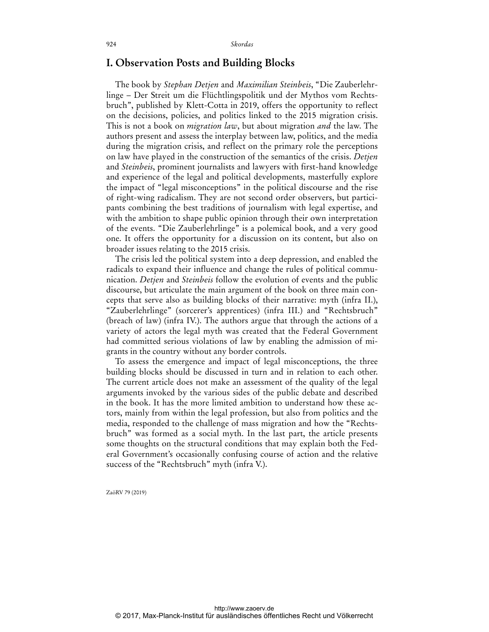### **I. Observation Posts and Building Blocks**

The book by *Stephan Detjen* and *Maximilian Steinbeis*, "Die Zauberlehrlinge – Der Streit um die Flüchtlingspolitik und der Mythos vom Rechtsbruch", published by Klett-Cotta in 2019, offers the opportunity to reflect on the decisions, policies, and politics linked to the 2015 migration crisis. This is not a book on *migration law*, but about migration *and* the law. The authors present and assess the interplay between law, politics, and the media during the migration crisis, and reflect on the primary role the perceptions on law have played in the construction of the semantics of the crisis. *Detjen* and *Steinbeis*, prominent journalists and lawyers with first-hand knowledge and experience of the legal and political developments, masterfully explore the impact of "legal misconceptions" in the political discourse and the rise of right-wing radicalism. They are not second order observers, but participants combining the best traditions of journalism with legal expertise, and with the ambition to shape public opinion through their own interpretation of the events. "Die Zauberlehrlinge" is a polemical book, and a very good one. It offers the opportunity for a discussion on its content, but also on broader issues relating to the 2015 crisis.

The crisis led the political system into a deep depression, and enabled the radicals to expand their influence and change the rules of political communication. *Detjen* and *Steinbeis* follow the evolution of events and the public discourse, but articulate the main argument of the book on three main concepts that serve also as building blocks of their narrative: myth (infra II.), "Zauberlehrlinge" (sorcerer's apprentices) (infra III.) and "Rechtsbruch" (breach of law) (infra IV.). The authors argue that through the actions of a variety of actors the legal myth was created that the Federal Government had committed serious violations of law by enabling the admission of migrants in the country without any border controls.

To assess the emergence and impact of legal misconceptions, the three building blocks should be discussed in turn and in relation to each other. The current article does not make an assessment of the quality of the legal arguments invoked by the various sides of the public debate and described in the book. It has the more limited ambition to understand how these actors, mainly from within the legal profession, but also from politics and the media, responded to the challenge of mass migration and how the "Rechtsbruch" was formed as a social myth. In the last part, the article presents some thoughts on the structural conditions that may explain both the Federal Government's occasionally confusing course of action and the relative success of the "Rechtsbruch" myth (infra V.).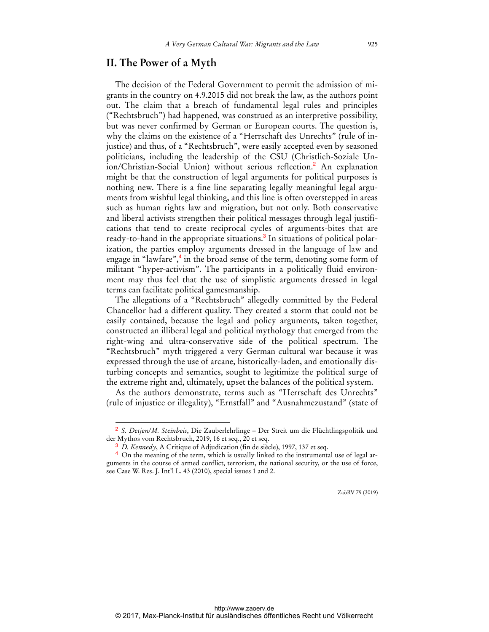## **II. The Power of a Myth**

The decision of the Federal Government to permit the admission of migrants in the country on 4.9.2015 did not break the law, as the authors point out. The claim that a breach of fundamental legal rules and principles ("Rechtsbruch") had happened, was construed as an interpretive possibility, but was never confirmed by German or European courts. The question is, why the claims on the existence of a "Herrschaft des Unrechts" (rule of injustice) and thus, of a "Rechtsbruch", were easily accepted even by seasoned politicians, including the leadership of the CSU (Christlich-Soziale Union/Christian-Social Union) without serious reflection.<sup>2</sup> An explanation might be that the construction of legal arguments for political purposes is nothing new. There is a fine line separating legally meaningful legal arguments from wishful legal thinking, and this line is often overstepped in areas such as human rights law and migration, but not only. Both conservative and liberal activists strengthen their political messages through legal justifications that tend to create reciprocal cycles of arguments-bites that are ready-to-hand in the appropriate situations.<sup>3</sup> In situations of political polarization, the parties employ arguments dressed in the language of law and engage in "lawfare",<sup>4</sup> in the broad sense of the term, denoting some form of militant "hyper-activism". The participants in a politically fluid environment may thus feel that the use of simplistic arguments dressed in legal terms can facilitate political gamesmanship.

The allegations of a "Rechtsbruch" allegedly committed by the Federal Chancellor had a different quality. They created a storm that could not be easily contained, because the legal and policy arguments, taken together, constructed an illiberal legal and political mythology that emerged from the right-wing and ultra-conservative side of the political spectrum. The "Rechtsbruch" myth triggered a very German cultural war because it was expressed through the use of arcane, historically-laden, and emotionally disturbing concepts and semantics, sought to legitimize the political surge of the extreme right and, ultimately, upset the balances of the political system.

As the authors demonstrate, terms such as "Herrschaft des Unrechts" (rule of injustice or illegality), "Ernstfall" and "Ausnahmezustand" (state of

 $\overline{a}$ 

<sup>2</sup> *S. Detjen/M. Steinbeis*, Die Zauberlehrlinge – Der Streit um die Flüchtlingspolitik und der Mythos vom Rechtsbruch, 2019, 16 et seq., 20 et seq.

<sup>3</sup> *D. Kennedy*, A Critique of Adjudication (fin de siècle), 1997, 137 et seq.

<sup>4</sup> On the meaning of the term, which is usually linked to the instrumental use of legal arguments in the course of armed conflict, terrorism, the national security, or the use of force, see Case W. Res. J. Int'l L. 43 (2010), special issues 1 and 2.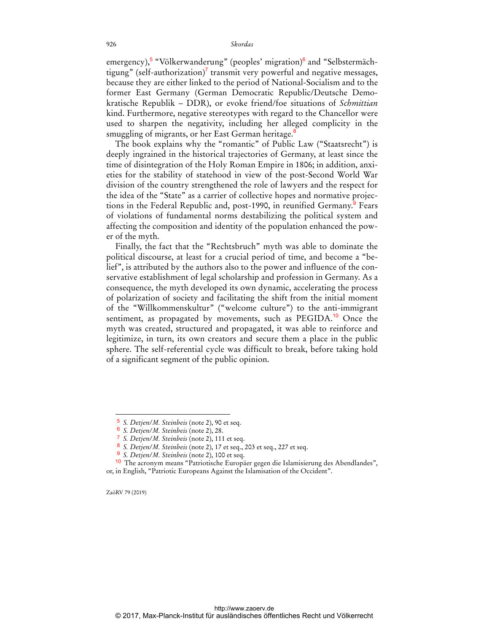emergency),<sup>5</sup> "Völkerwanderung" (peoples' migration)<sup>6</sup> and "Selbstermächtigung" (self-authorization)<sup>7</sup> transmit very powerful and negative messages, because they are either linked to the period of National-Socialism and to the former East Germany (German Democratic Republic/Deutsche Demokratische Republik – DDR), or evoke friend/foe situations of *Schmittian* kind. Furthermore, negative stereotypes with regard to the Chancellor were used to sharpen the negativity, including her alleged complicity in the smuggling of migrants, or her East German heritage.<sup>8</sup>

The book explains why the "romantic" of Public Law ("Staatsrecht") is deeply ingrained in the historical trajectories of Germany, at least since the time of disintegration of the Holy Roman Empire in 1806; in addition, anxieties for the stability of statehood in view of the post-Second World War division of the country strengthened the role of lawyers and the respect for the idea of the "State" as a carrier of collective hopes and normative projections in the Federal Republic and, post-1990, in reunified Germany.<sup>9</sup> Fears of violations of fundamental norms destabilizing the political system and affecting the composition and identity of the population enhanced the power of the myth.

Finally, the fact that the "Rechtsbruch" myth was able to dominate the political discourse, at least for a crucial period of time, and become a "belief", is attributed by the authors also to the power and influence of the conservative establishment of legal scholarship and profession in Germany. As a consequence, the myth developed its own dynamic, accelerating the process of polarization of society and facilitating the shift from the initial moment of the "Willkommenskultur" ("welcome culture") to the anti-immigrant sentiment, as propagated by movements, such as PEGIDA.<sup>10</sup> Once the myth was created, structured and propagated, it was able to reinforce and legitimize, in turn, its own creators and secure them a place in the public sphere. The self-referential cycle was difficult to break, before taking hold of a significant segment of the public opinion.

ZaöRV 79 (2019)

<sup>5</sup> *S. Detjen/M. Steinbeis* (note 2), 90 et seq.

<sup>6</sup> *S. Detjen/M. Steinbeis* (note 2), 28.

<sup>7</sup> *S. Detjen/M. Steinbeis* (note 2), 111 et seq.

<sup>8</sup> *S. Detjen/M. Steinbeis* (note 2), 17 et seq., 203 et seq., 227 et seq.

<sup>9</sup> *S. Detjen/M. Steinbeis* (note 2), 100 et seq.

<sup>10</sup> The acronym means "Patriotische Europäer gegen die Islamisierung des Abendlandes", or, in English, "Patriotic Europeans Against the Islamisation of the Occident".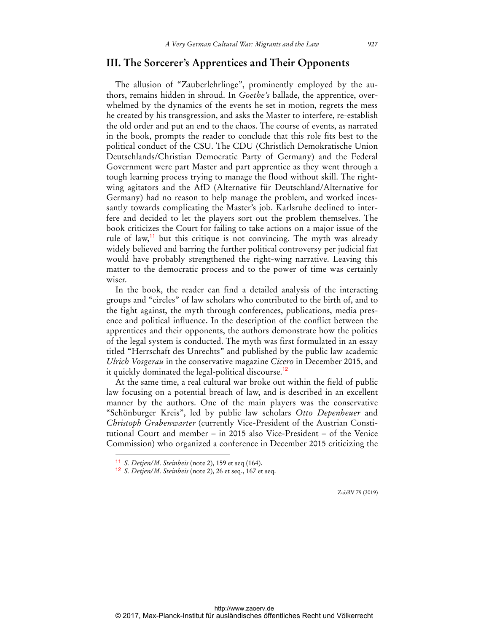## **III. The Sorcerer's Apprentices and Their Opponents**

The allusion of "Zauberlehrlinge", prominently employed by the authors, remains hidden in shroud. In *Goethe's* ballade, the apprentice, overwhelmed by the dynamics of the events he set in motion, regrets the mess he created by his transgression, and asks the Master to interfere, re-establish the old order and put an end to the chaos. The course of events, as narrated in the book, prompts the reader to conclude that this role fits best to the political conduct of the CSU. The CDU (Christlich Demokratische Union Deutschlands/Christian Democratic Party of Germany) and the Federal Government were part Master and part apprentice as they went through a tough learning process trying to manage the flood without skill. The rightwing agitators and the AfD (Alternative für Deutschland/Alternative for Germany) had no reason to help manage the problem, and worked incessantly towards complicating the Master's job. Karlsruhe declined to interfere and decided to let the players sort out the problem themselves. The book criticizes the Court for failing to take actions on a major issue of the rule of law,<sup>11</sup> but this critique is not convincing. The myth was already widely believed and barring the further political controversy per judicial fiat would have probably strengthened the right-wing narrative. Leaving this matter to the democratic process and to the power of time was certainly wiser.

In the book, the reader can find a detailed analysis of the interacting groups and "circles" of law scholars who contributed to the birth of, and to the fight against, the myth through conferences, publications, media presence and political influence. In the description of the conflict between the apprentices and their opponents, the authors demonstrate how the politics of the legal system is conducted. The myth was first formulated in an essay titled "Herrschaft des Unrechts" and published by the public law academic *Ulrich Vosgerau* in the conservative magazine *Cicero* in December 2015, and it quickly dominated the legal-political discourse.<sup>12</sup>

At the same time, a real cultural war broke out within the field of public law focusing on a potential breach of law, and is described in an excellent manner by the authors. One of the main players was the conservative "Schönburger Kreis", led by public law scholars *Otto Depenheuer* and *Christoph Grabenwarter* (currently Vice-President of the Austrian Constitutional Court and member – in 2015 also Vice-President – of the Venice Commission) who organized a conference in December 2015 criticizing the

 $\ddot{ }$ 

<sup>11</sup> *S. Detjen/M. Steinbeis* (note 2), 159 et seq (164).

<sup>12</sup> *S. Detjen/M. Steinbeis* (note 2), 26 et seq., 167 et seq.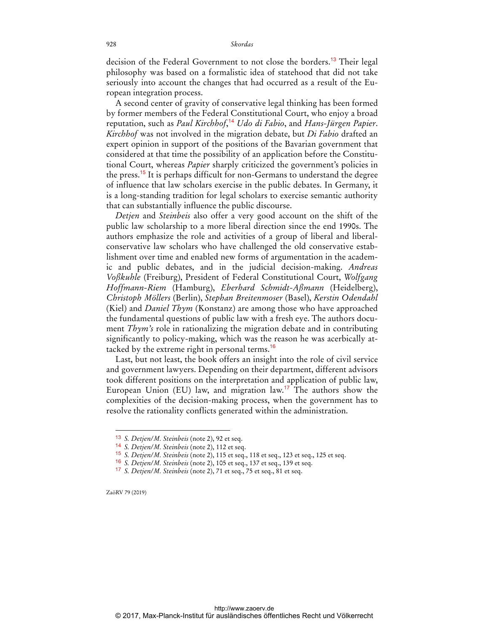decision of the Federal Government to not close the borders.<sup>13</sup> Their legal philosophy was based on a formalistic idea of statehood that did not take seriously into account the changes that had occurred as a result of the European integration process.

A second center of gravity of conservative legal thinking has been formed by former members of the Federal Constitutional Court, who enjoy a broad reputation, such as *Paul Kirchhof*, <sup>14</sup> *Udo di Fabio*, and *Hans-Jürgen Papier*. *Kirchhof* was not involved in the migration debate, but *Di Fabio* drafted an expert opinion in support of the positions of the Bavarian government that considered at that time the possibility of an application before the Constitutional Court, whereas *Papier* sharply criticized the government's policies in the press.<sup>15</sup> It is perhaps difficult for non-Germans to understand the degree of influence that law scholars exercise in the public debates. In Germany, it is a long-standing tradition for legal scholars to exercise semantic authority that can substantially influence the public discourse.

*Detjen* and *Steinbeis* also offer a very good account on the shift of the public law scholarship to a more liberal direction since the end 1990s. The authors emphasize the role and activities of a group of liberal and liberalconservative law scholars who have challenged the old conservative establishment over time and enabled new forms of argumentation in the academic and public debates, and in the judicial decision-making. *Andreas Voßkuhle* (Freiburg), President of Federal Constitutional Court, *Wolfgang Hoffmann-Riem* (Hamburg), *Eberhard Schmidt-Aßmann* (Heidelberg), *Christoph Möllers* (Berlin), *Stephan Breitenmoser* (Basel), *Kerstin Odendahl* (Kiel) and *Daniel Thym* (Konstanz) are among those who have approached the fundamental questions of public law with a fresh eye. The authors document *Thym's* role in rationalizing the migration debate and in contributing significantly to policy-making, which was the reason he was acerbically attacked by the extreme right in personal terms.<sup>16</sup>

Last, but not least, the book offers an insight into the role of civil service and government lawyers. Depending on their department, different advisors took different positions on the interpretation and application of public law, European Union (EU) law, and migration law.<sup>17</sup> The authors show the complexities of the decision-making process, when the government has to resolve the rationality conflicts generated within the administration.

ZaöRV 79 (2019)

<sup>13</sup> *S. Detjen/M. Steinbeis* (note 2), 92 et seq.

<sup>14</sup> *S. Detjen/M. Steinbeis* (note 2), 112 et seq.

<sup>15</sup> *S. Detjen/M. Steinbeis* (note 2), 115 et seq., 118 et seq., 123 et seq., 125 et seq.

<sup>16</sup> *S. Detjen/M. Steinbeis* (note 2), 105 et seq., 137 et seq., 139 et seq.

<sup>17</sup> *S. Detjen/M. Steinbeis* (note 2), 71 et seq., 75 et seq., 81 et seq.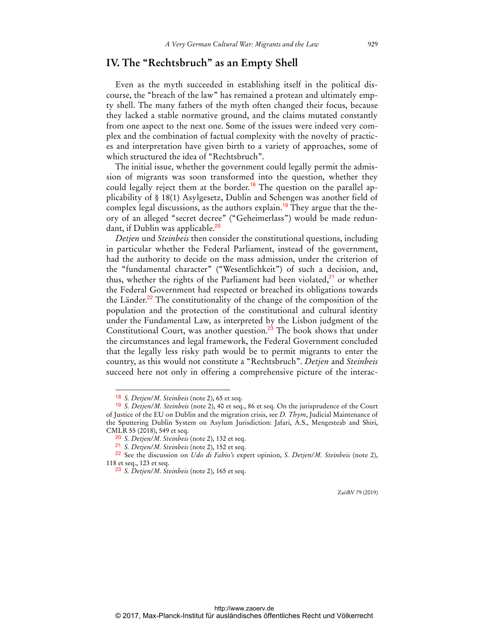# **IV. The "Rechtsbruch" as an Empty Shell**

Even as the myth succeeded in establishing itself in the political discourse, the "breach of the law" has remained a protean and ultimately empty shell. The many fathers of the myth often changed their focus, because they lacked a stable normative ground, and the claims mutated constantly from one aspect to the next one. Some of the issues were indeed very complex and the combination of factual complexity with the novelty of practices and interpretation have given birth to a variety of approaches, some of which structured the idea of "Rechtsbruch".

The initial issue, whether the government could legally permit the admission of migrants was soon transformed into the question, whether they could legally reject them at the border.<sup>18</sup> The question on the parallel applicability of § 18(1) Asylgesetz, Dublin and Schengen was another field of complex legal discussions, as the authors explain.<sup>19</sup> They argue that the theory of an alleged "secret decree" ("Geheimerlass") would be made redundant, if Dublin was applicable.<sup>20</sup>

*Detjen* und *Steinbeis* then consider the constitutional questions, including in particular whether the Federal Parliament, instead of the government, had the authority to decide on the mass admission, under the criterion of the "fundamental character" ("Wesentlichkeit") of such a decision, and, thus, whether the rights of the Parliament had been violated,<sup>21</sup> or whether the Federal Government had respected or breached its obligations towards the Länder.<sup>22</sup> The constitutionality of the change of the composition of the population and the protection of the constitutional and cultural identity under the Fundamental Law, as interpreted by the Lisbon judgment of the Constitutional Court, was another question.<sup>23</sup> The book shows that under the circumstances and legal framework, the Federal Government concluded that the legally less risky path would be to permit migrants to enter the country, as this would not constitute a "Rechtsbruch". *Detjen* and *Steinbeis* succeed here not only in offering a comprehensive picture of the interac-

 $\overline{a}$ 

<sup>18</sup> *S. Detjen/M. Steinbeis* (note 2), 65 et seq.

<sup>19</sup> *S. Detjen/M. Steinbeis* (note 2), 40 et seq., 86 et seq. On the jurisprudence of the Court of Justice of the EU on Dublin and the migration crisis, see *D. Thym*, Judicial Maintenance of the Sputtering Dublin System on Asylum Jurisdiction: Jafari, A.S., Mengesteab and Shiri, CMLR 55 (2018), 549 et seq.

<sup>20</sup> *S. Detjen/M. Steinbeis* (note 2), 132 et seq.

<sup>21</sup> *S. Detjen/M. Steinbeis* (note 2), 152 et seq.

<sup>22</sup> See the discussion on *Udo di Fabio's* expert opinion, *S. Detjen/M. Steinbeis* (note 2), 118 et seq., 123 et seq.

<sup>23</sup> *S. Detjen/M. Steinbeis* (note 2), 165 et seq.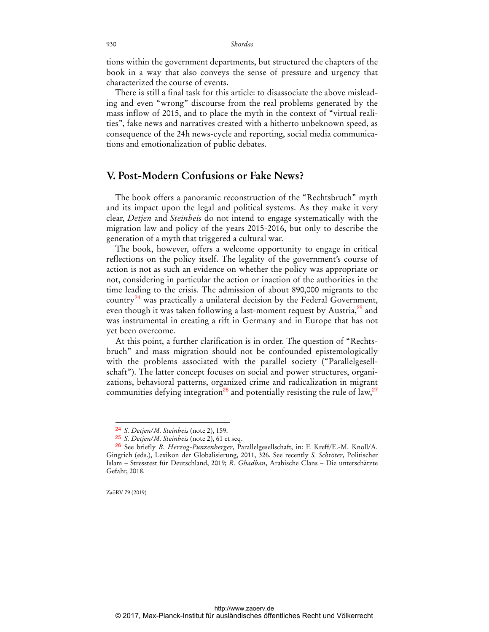tions within the government departments, but structured the chapters of the book in a way that also conveys the sense of pressure and urgency that characterized the course of events.

There is still a final task for this article: to disassociate the above misleading and even "wrong" discourse from the real problems generated by the mass inflow of 2015, and to place the myth in the context of "virtual realities", fake news and narratives created with a hitherto unbeknown speed, as consequence of the 24h news-cycle and reporting, social media communications and emotionalization of public debates.

# **V. Post-Modern Confusions or Fake News?**

The book offers a panoramic reconstruction of the "Rechtsbruch" myth and its impact upon the legal and political systems. As they make it very clear, *Detjen* and *Steinbeis* do not intend to engage systematically with the migration law and policy of the years 2015-2016, but only to describe the generation of a myth that triggered a cultural war.

The book, however, offers a welcome opportunity to engage in critical reflections on the policy itself. The legality of the government's course of action is not as such an evidence on whether the policy was appropriate or not, considering in particular the action or inaction of the authorities in the time leading to the crisis. The admission of about 890,000 migrants to the country<sup>24</sup> was practically a unilateral decision by the Federal Government, even though it was taken following a last-moment request by Austria,<sup>25</sup> and was instrumental in creating a rift in Germany and in Europe that has not yet been overcome.

At this point, a further clarification is in order. The question of "Rechtsbruch" and mass migration should not be confounded epistemologically with the problems associated with the parallel society ("Parallelgesellschaft"). The latter concept focuses on social and power structures, organizations, behavioral patterns, organized crime and radicalization in migrant communities defying integration<sup>26</sup> and potentially resisting the rule of law,<sup>27</sup>

ZaöRV 79 (2019)

<sup>24</sup> *S. Detjen/M. Steinbeis* (note 2), 159.

<sup>25</sup> *S. Detjen/M. Steinbeis* (note 2), 61 et seq.

<sup>26</sup> See briefly *B. Herzog-Punzenberger*, Parallelgesellschaft, in: F. Kreff/E.-M. Knoll/A. Gingrich (eds.), Lexikon der Globalisierung, 2011, 326. See recently *S. Schröter*, Politischer Islam – Stresstest für Deutschland, 2019; *R. Ghadban*, Arabische Clans – Die unterschätzte Gefahr, 2018.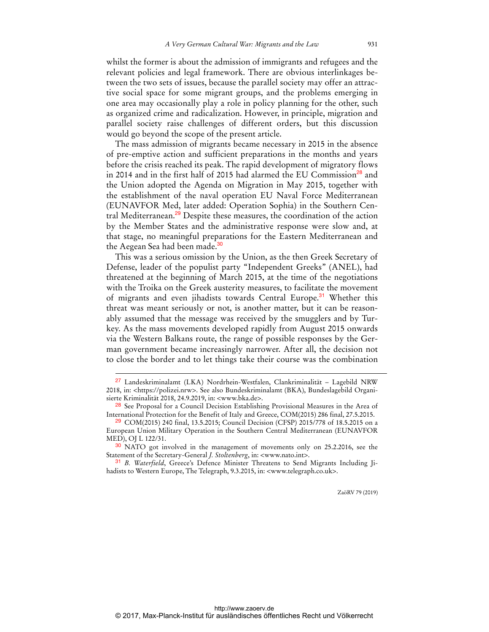whilst the former is about the admission of immigrants and refugees and the relevant policies and legal framework. There are obvious interlinkages between the two sets of issues, because the parallel society may offer an attractive social space for some migrant groups, and the problems emerging in one area may occasionally play a role in policy planning for the other, such as organized crime and radicalization. However, in principle, migration and parallel society raise challenges of different orders, but this discussion would go beyond the scope of the present article.

The mass admission of migrants became necessary in 2015 in the absence of pre-emptive action and sufficient preparations in the months and years before the crisis reached its peak. The rapid development of migratory flows in 2014 and in the first half of 2015 had alarmed the EU Commission<sup>28</sup> and the Union adopted the Agenda on Migration in May 2015, together with the establishment of the naval operation EU Naval Force Mediterranean (EUNAVFOR Med, later added: Operation Sophia) in the Southern Central Mediterranean.<sup>29</sup> Despite these measures, the coordination of the action by the Member States and the administrative response were slow and, at that stage, no meaningful preparations for the Eastern Mediterranean and the Aegean Sea had been made.<sup>30</sup>

This was a serious omission by the Union, as the then Greek Secretary of Defense, leader of the populist party "Independent Greeks" (ANEL), had threatened at the beginning of March 2015, at the time of the negotiations with the Troika on the Greek austerity measures, to facilitate the movement of migrants and even jihadists towards Central Europe.<sup>31</sup> Whether this threat was meant seriously or not, is another matter, but it can be reasonably assumed that the message was received by the smugglers and by Turkey. As the mass movements developed rapidly from August 2015 onwards via the Western Balkans route, the range of possible responses by the German government became increasingly narrower. After all, the decision not to close the border and to let things take their course was the combination

 $\overline{a}$ 

<sup>27</sup> Landeskriminalamt (LKA) Nordrhein-Westfalen, Clankriminalität – Lagebild NRW 2018, in: <https://polizei.nrw>. See also Bundeskriminalamt (BKA), Bundeslagebild Organisierte Kriminalität 2018, 24.9.2019, in: <www.bka.de>.

<sup>&</sup>lt;sup>28</sup> See Proposal for a Council Decision Establishing Provisional Measures in the Area of International Protection for the Benefit of Italy and Greece, COM(2015) 286 final, 27.5.2015.

<sup>29</sup> COM(2015) 240 final, 13.5.2015; Council Decision (CFSP) 2015/778 of 18.5.2015 on a European Union Military Operation in the Southern Central Mediterranean (EUNAVFOR MED), OJ L 122/31.

<sup>30</sup> NATO got involved in the management of movements only on 25.2.2016, see the Statement of the Secretary-General *J. Stoltenberg*, in: <www.nato.int>.

<sup>31</sup> *B. Waterfield*, Greece's Defence Minister Threatens to Send Migrants Including Jihadists to Western Europe, The Telegraph, 9.3.2015, in: <www.telegraph.co.uk>.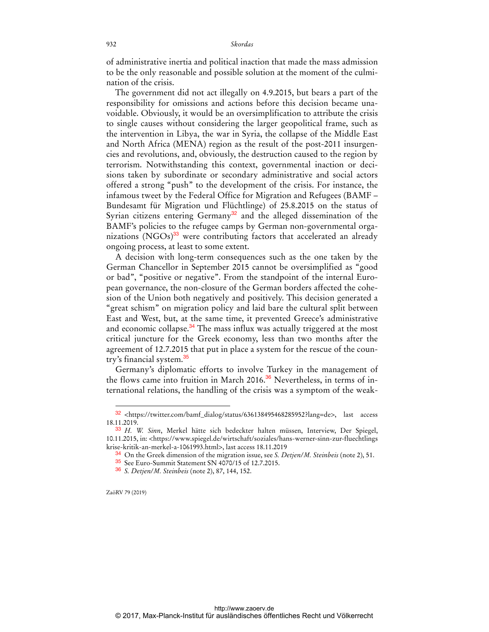of administrative inertia and political inaction that made the mass admission to be the only reasonable and possible solution at the moment of the culmination of the crisis.

The government did not act illegally on 4.9.2015, but bears a part of the responsibility for omissions and actions before this decision became unavoidable. Obviously, it would be an oversimplification to attribute the crisis to single causes without considering the larger geopolitical frame, such as the intervention in Libya, the war in Syria, the collapse of the Middle East and North Africa (MENA) region as the result of the post-2011 insurgencies and revolutions, and, obviously, the destruction caused to the region by terrorism. Notwithstanding this context, governmental inaction or decisions taken by subordinate or secondary administrative and social actors offered a strong "push" to the development of the crisis. For instance, the infamous tweet by the Federal Office for Migration and Refugees (BAMF – Bundesamt für Migration und Flüchtlinge) of 25.8.2015 on the status of Syrian citizens entering Germany<sup>32</sup> and the alleged dissemination of the BAMF's policies to the refugee camps by German non-governmental organizations  $(NGOs)^{33}$  were contributing factors that accelerated an already ongoing process, at least to some extent.

A decision with long-term consequences such as the one taken by the German Chancellor in September 2015 cannot be oversimplified as "good or bad", "positive or negative". From the standpoint of the internal European governance, the non-closure of the German borders affected the cohesion of the Union both negatively and positively. This decision generated a "great schism" on migration policy and laid bare the cultural split between East and West, but, at the same time, it prevented Greece's administrative and economic collapse.<sup>34</sup> The mass influx was actually triggered at the most critical juncture for the Greek economy, less than two months after the agreement of 12.7.2015 that put in place a system for the rescue of the country's financial system.<sup>35</sup>

Germany's diplomatic efforts to involve Turkey in the management of the flows came into fruition in March 2016.<sup>36</sup> Nevertheless, in terms of international relations, the handling of the crisis was a symptom of the weak-

ZaöRV 79 (2019)

<sup>32</sup> <https://twitter.com/bamf\_dialog/status/636138495468285952?lang=de>, last access 18.11.2019.

<sup>33</sup> *H. W. Sinn*, Merkel hätte sich bedeckter halten müssen, Interview, Der Spiegel, 10.11.2015, in: <https://www.spiegel.de/wirtschaft/soziales/hans-werner-sinn-zur-fluechtlings krise-kritik-an-merkel-a-1061993.html>, last access 18.11.2019

<sup>34</sup> On the Greek dimension of the migration issue, see *S. Detjen/M. Steinbeis* (note 2), 51.

<sup>35</sup> See Euro-Summit Statement SN 4070/15 of 12.7.2015.

<sup>36</sup> *S. Detjen/M. Steinbeis* (note 2), 87, 144, 152.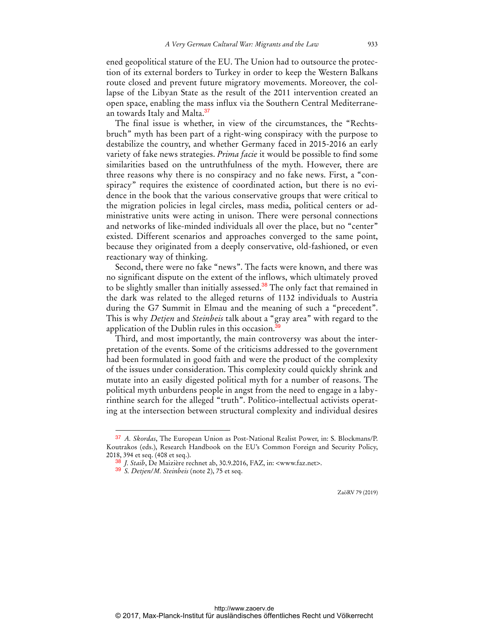ened geopolitical stature of the EU. The Union had to outsource the protection of its external borders to Turkey in order to keep the Western Balkans route closed and prevent future migratory movements. Moreover, the collapse of the Libyan State as the result of the 2011 intervention created an open space, enabling the mass influx via the Southern Central Mediterranean towards Italy and Malta.<sup>37</sup>

The final issue is whether, in view of the circumstances, the "Rechtsbruch" myth has been part of a right-wing conspiracy with the purpose to destabilize the country, and whether Germany faced in 2015-2016 an early variety of fake news strategies. *Prima facie* it would be possible to find some similarities based on the untruthfulness of the myth. However, there are three reasons why there is no conspiracy and no fake news. First, a "conspiracy" requires the existence of coordinated action, but there is no evidence in the book that the various conservative groups that were critical to the migration policies in legal circles, mass media, political centers or administrative units were acting in unison. There were personal connections and networks of like-minded individuals all over the place, but no "center" existed. Different scenarios and approaches converged to the same point, because they originated from a deeply conservative, old-fashioned, or even reactionary way of thinking.

Second, there were no fake "news". The facts were known, and there was no significant dispute on the extent of the inflows, which ultimately proved to be slightly smaller than initially assessed.<sup>38</sup> The only fact that remained in the dark was related to the alleged returns of 1132 individuals to Austria during the G7 Summit in Elmau and the meaning of such a "precedent". This is why *Detjen* and *Steinbeis* talk about a "gray area" with regard to the application of the Dublin rules in this occasion.<sup>3</sup>

Third, and most importantly, the main controversy was about the interpretation of the events. Some of the criticisms addressed to the government had been formulated in good faith and were the product of the complexity of the issues under consideration. This complexity could quickly shrink and mutate into an easily digested political myth for a number of reasons. The political myth unburdens people in angst from the need to engage in a labyrinthine search for the alleged "truth". Politico-intellectual activists operating at the intersection between structural complexity and individual desires

 $\overline{a}$ 

<sup>37</sup> *A. Skordas*, The European Union as Post-National Realist Power, in: S. Blockmans/P. Koutrakos (eds.), Research Handbook on the EU's Common Foreign and Security Policy, 2018, 394 et seq. (408 et seq.).

<sup>38</sup> *J. Staib*, De Maizière rechnet ab, 30.9.2016, FAZ, in: <www.faz.net>.

<sup>39</sup> *S. Detjen/M. Steinbeis* (note 2), 75 et seq.